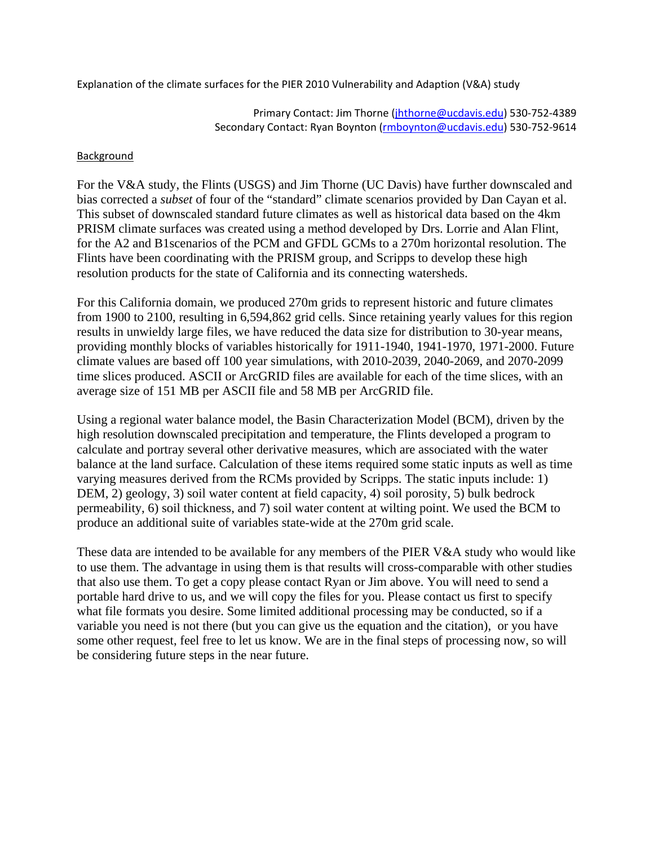Explanation of the climate surfaces for the PIER 2010 Vulnerability and Adaption (V&A) study

Primary Contact: Jim Thorne (jhthorne@ucdavis.edu) 530‐752‐4389 Secondary Contact: Ryan Boynton (rmboynton@ucdavis.edu) 530-752-9614

## Background

For the V&A study, the Flints (USGS) and Jim Thorne (UC Davis) have further downscaled and bias corrected a *subset* of four of the "standard" climate scenarios provided by Dan Cayan et al. This subset of downscaled standard future climates as well as historical data based on the 4km PRISM climate surfaces was created using a method developed by Drs. Lorrie and Alan Flint, for the A2 and B1scenarios of the PCM and GFDL GCMs to a 270m horizontal resolution. The Flints have been coordinating with the PRISM group, and Scripps to develop these high resolution products for the state of California and its connecting watersheds.

For this California domain, we produced 270m grids to represent historic and future climates from 1900 to 2100, resulting in 6,594,862 grid cells. Since retaining yearly values for this region results in unwieldy large files, we have reduced the data size for distribution to 30-year means, providing monthly blocks of variables historically for 1911-1940, 1941-1970, 1971-2000. Future climate values are based off 100 year simulations, with 2010-2039, 2040-2069, and 2070-2099 time slices produced. ASCII or ArcGRID files are available for each of the time slices, with an average size of 151 MB per ASCII file and 58 MB per ArcGRID file.

Using a regional water balance model, the Basin Characterization Model (BCM), driven by the high resolution downscaled precipitation and temperature, the Flints developed a program to calculate and portray several other derivative measures, which are associated with the water balance at the land surface. Calculation of these items required some static inputs as well as time varying measures derived from the RCMs provided by Scripps. The static inputs include: 1) DEM, 2) geology, 3) soil water content at field capacity, 4) soil porosity, 5) bulk bedrock permeability, 6) soil thickness, and 7) soil water content at wilting point. We used the BCM to produce an additional suite of variables state-wide at the 270m grid scale.

These data are intended to be available for any members of the PIER V&A study who would like to use them. The advantage in using them is that results will cross-comparable with other studies that also use them. To get a copy please contact Ryan or Jim above. You will need to send a portable hard drive to us, and we will copy the files for you. Please contact us first to specify what file formats you desire. Some limited additional processing may be conducted, so if a variable you need is not there (but you can give us the equation and the citation), or you have some other request, feel free to let us know. We are in the final steps of processing now, so will be considering future steps in the near future.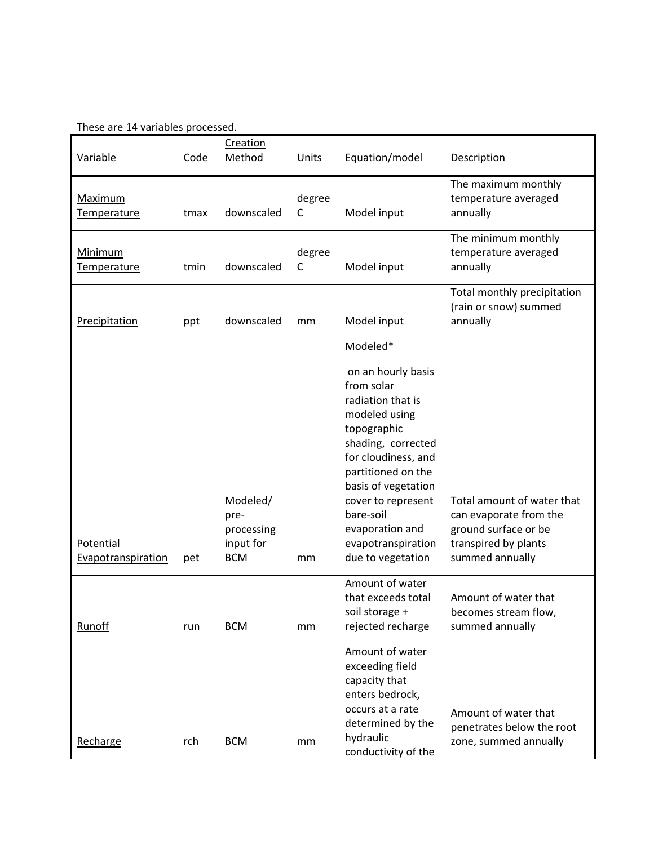| <b>Variable</b>                 | Code | Creation<br>Method                                        | <b>Units</b>           | Equation/model                                                                                                                                                                                                                                                                               | <b>Description</b>                                                                                                      |
|---------------------------------|------|-----------------------------------------------------------|------------------------|----------------------------------------------------------------------------------------------------------------------------------------------------------------------------------------------------------------------------------------------------------------------------------------------|-------------------------------------------------------------------------------------------------------------------------|
| <b>Maximum</b><br>Temperature   | tmax | downscaled                                                | degree<br>$\mathsf{C}$ | Model input                                                                                                                                                                                                                                                                                  | The maximum monthly<br>temperature averaged<br>annually                                                                 |
| Minimum<br>Temperature          | tmin | downscaled                                                | degree<br>C            | Model input                                                                                                                                                                                                                                                                                  | The minimum monthly<br>temperature averaged<br>annually                                                                 |
| Precipitation                   | ppt  | downscaled                                                | mm                     | Model input                                                                                                                                                                                                                                                                                  | Total monthly precipitation<br>(rain or snow) summed<br>annually                                                        |
| Potential<br>Evapotranspiration | pet  | Modeled/<br>pre-<br>processing<br>input for<br><b>BCM</b> | mm                     | Modeled*<br>on an hourly basis<br>from solar<br>radiation that is<br>modeled using<br>topographic<br>shading, corrected<br>for cloudiness, and<br>partitioned on the<br>basis of vegetation<br>cover to represent<br>bare-soil<br>evaporation and<br>evapotranspiration<br>due to vegetation | Total amount of water that<br>can evaporate from the<br>ground surface or be<br>transpired by plants<br>summed annually |
| Runoff                          | run  | <b>BCM</b>                                                | mm                     | Amount of water<br>that exceeds total<br>soil storage +<br>rejected recharge                                                                                                                                                                                                                 | Amount of water that<br>becomes stream flow,<br>summed annually                                                         |
| Recharge                        | rch  | <b>BCM</b>                                                | mm                     | Amount of water<br>exceeding field<br>capacity that<br>enters bedrock,<br>occurs at a rate<br>determined by the<br>hydraulic<br>conductivity of the                                                                                                                                          | Amount of water that<br>penetrates below the root<br>zone, summed annually                                              |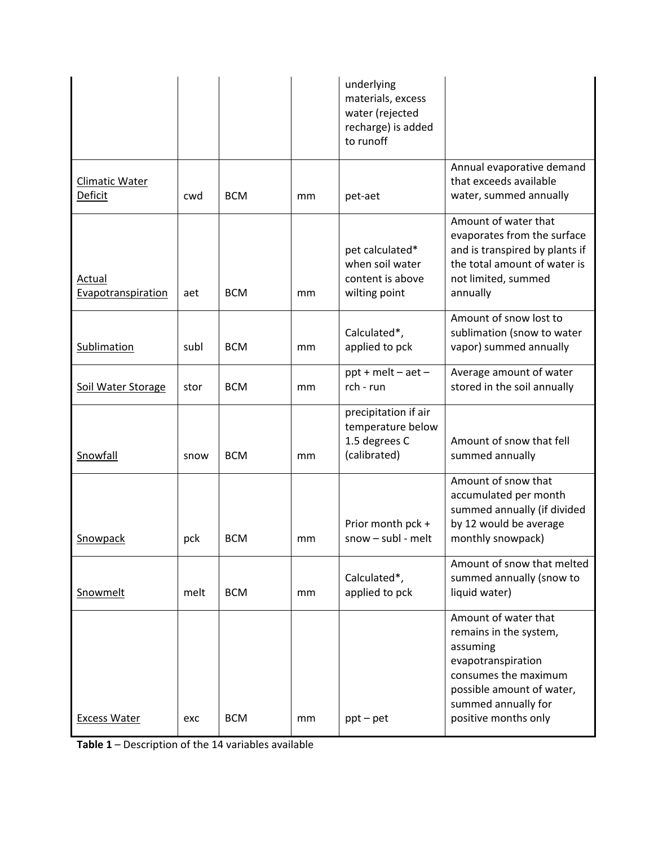|                                  |      |            |                                                                               | underlying<br>materials, excess<br>water (rejected<br>recharge) is added<br>to runoff                                                                                   |                                                                                                                                                                                      |
|----------------------------------|------|------------|-------------------------------------------------------------------------------|-------------------------------------------------------------------------------------------------------------------------------------------------------------------------|--------------------------------------------------------------------------------------------------------------------------------------------------------------------------------------|
| <b>Climatic Water</b><br>Deficit | cwd  | <b>BCM</b> | mm                                                                            | pet-aet                                                                                                                                                                 | Annual evaporative demand<br>that exceeds available<br>water, summed annually                                                                                                        |
| Actual<br>Evapotranspiration     | aet  | <b>BCM</b> | pet calculated*<br>when soil water<br>content is above<br>wilting point<br>mm |                                                                                                                                                                         | Amount of water that<br>evaporates from the surface<br>and is transpired by plants if<br>the total amount of water is<br>not limited, summed<br>annually                             |
| Sublimation                      | subl | <b>BCM</b> | mm                                                                            | Amount of snow lost to<br>Calculated*,<br>sublimation (snow to water<br>vapor) summed annually<br>applied to pck                                                        |                                                                                                                                                                                      |
| Soil Water Storage               | stor | <b>BCM</b> | mm                                                                            | Average amount of water<br>$ppt + melt - aet -$<br>rch - run<br>stored in the soil annually                                                                             |                                                                                                                                                                                      |
| Snowfall                         | snow | <b>BCM</b> | mm                                                                            | precipitation if air<br>temperature below<br>1.5 degrees C<br>(calibrated)                                                                                              | Amount of snow that fell<br>summed annually                                                                                                                                          |
| Snowpack                         | pck  | <b>BCM</b> | mm                                                                            | Amount of snow that<br>accumulated per month<br>summed annually (if divided<br>by 12 would be average<br>Prior month pck +<br>$snow - subl - melt$<br>monthly snowpack) |                                                                                                                                                                                      |
| Snowmelt                         | melt | <b>BCM</b> | mm                                                                            | Calculated*,<br>applied to pck                                                                                                                                          | Amount of snow that melted<br>summed annually (snow to<br>liquid water)                                                                                                              |
| <b>Excess Water</b>              | exc  | <b>BCM</b> | mm                                                                            | $ppt - pet$                                                                                                                                                             | Amount of water that<br>remains in the system,<br>assuming<br>evapotranspiration<br>consumes the maximum<br>possible amount of water,<br>summed annually for<br>positive months only |

**Table 1** – Description of the 14 variables available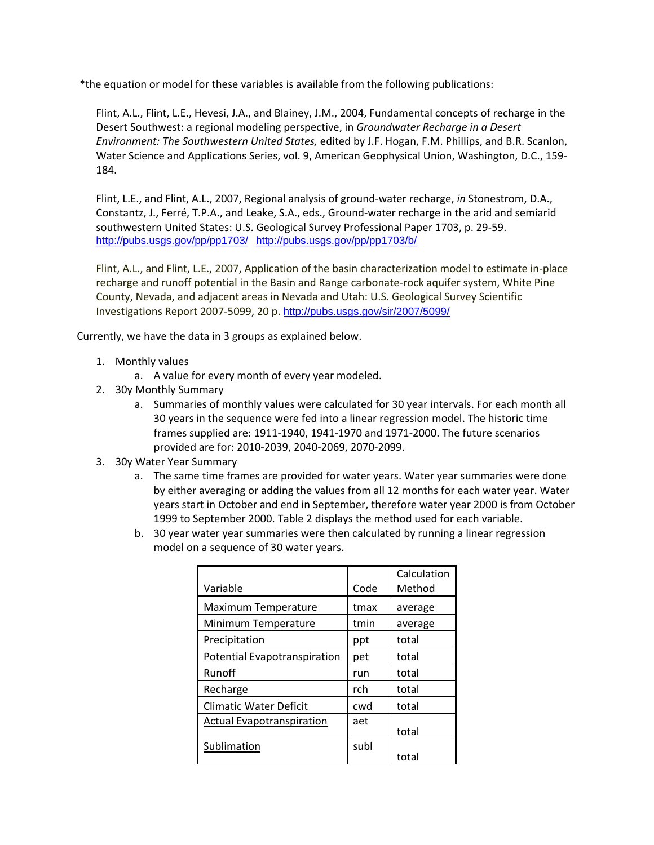\*the equation or model for these variables is available from the following publications:

Flint, A.L., Flint, L.E., Hevesi, J.A., and Blainey, J.M., 2004, Fundamental concepts of recharge in the Desert Southwest: a regional modeling perspective, in *Groundwater Recharge in a Desert Environment: The Southwestern United States,* edited by J.F. Hogan, F.M. Phillips, and B.R. Scanlon, Water Science and Applications Series, vol. 9, American Geophysical Union, Washington, D.C., 159‐ 184.

Flint, L.E., and Flint, A.L., 2007, Regional analysis of ground‐water recharge, *in* Stonestrom, D.A., Constantz, J., Ferré, T.P.A., and Leake, S.A., eds., Ground‐water recharge in the arid and semiarid southwestern United States: U.S. Geological Survey Professional Paper 1703, p. 29‐59. http://pubs.usgs.gov/pp/pp1703/ http://pubs.usgs.gov/pp/pp1703/b/

Flint, A.L., and Flint, L.E., 2007, Application of the basin characterization model to estimate in‐place recharge and runoff potential in the Basin and Range carbonate‐rock aquifer system, White Pine County, Nevada, and adjacent areas in Nevada and Utah: U.S. Geological Survey Scientific Investigations Report 2007-5099, 20 p. http://pubs.usgs.gov/sir/2007/5099/

Currently, we have the data in 3 groups as explained below.

- 1. Monthly values
	- a. A value for every month of every year modeled.
- 2. 30y Monthly Summary
	- a. Summaries of monthly values were calculated for 30 year intervals. For each month all 30 years in the sequence were fed into a linear regression model. The historic time frames supplied are: 1911‐1940, 1941‐1970 and 1971‐2000. The future scenarios provided are for: 2010‐2039, 2040‐2069, 2070‐2099.
- 3. 30y Water Year Summary
	- a. The same time frames are provided for water years. Water year summaries were done by either averaging or adding the values from all 12 months for each water year. Water years start in October and end in September, therefore water year 2000 is from October 1999 to September 2000. Table 2 displays the method used for each variable.
	- b. 30 year water year summaries were then calculated by running a linear regression model on a sequence of 30 water years.

|                                  |      | Calculation |
|----------------------------------|------|-------------|
| Variable                         | Code | Method      |
| Maximum Temperature              | tmax | average     |
| Minimum Temperature              | tmin | average     |
| Precipitation                    | ppt  | total       |
| Potential Evapotranspiration     | pet  | total       |
| Runoff                           | run  | total       |
| Recharge                         | rch  | total       |
| Climatic Water Deficit           | cwd  | total       |
| <b>Actual Evapotranspiration</b> | aet  | total       |
| Sublimation                      | subl | total       |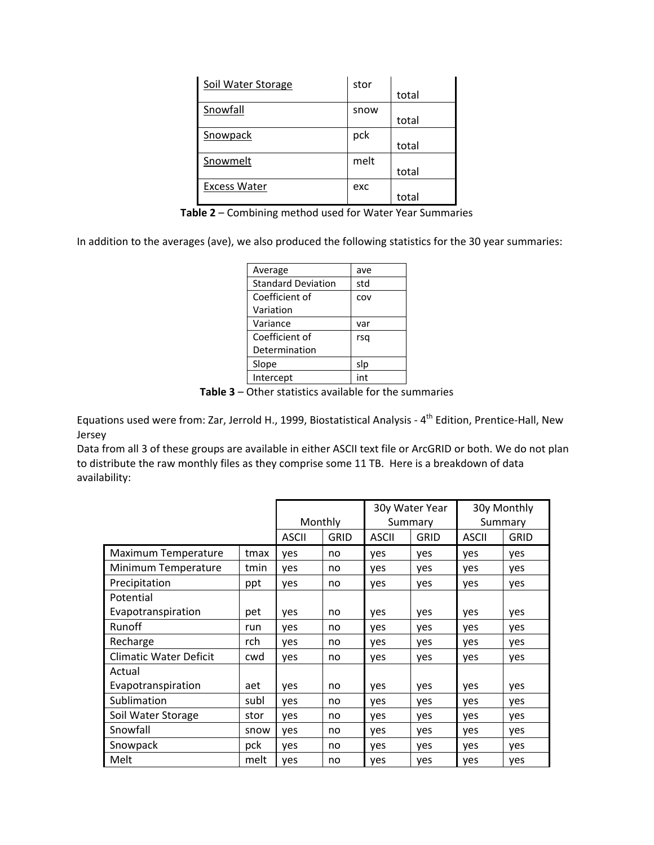| Soil Water Storage  | stor | total |
|---------------------|------|-------|
| Snowfall            | snow | total |
| Snowpack            | pck  | total |
| Snowmelt            | melt | total |
| <b>Excess Water</b> | exc  | total |

**Table 2** – Combining method used for Water Year Summaries

In addition to the averages (ave), we also produced the following statistics for the 30 year summaries:

| Average                   | ave |
|---------------------------|-----|
| <b>Standard Deviation</b> | std |
| Coefficient of            | COV |
| Variation                 |     |
| Variance                  | var |
| Coefficient of            | rsq |
| Determination             |     |
| Slope                     | slp |
| Intercept                 | int |

**Table 3** – Other statistics available for the summaries

Equations used were from: Zar, Jerrold H., 1999, Biostatistical Analysis - 4<sup>th</sup> Edition, Prentice-Hall, New Jersey

Data from all 3 of these groups are available in either ASCII text file or ArcGRID or both. We do not plan to distribute the raw monthly files as they comprise some 11 TB. Here is a breakdown of data availability:

|                               |      |              |             | 30y Water Year |      | 30y Monthly  |             |
|-------------------------------|------|--------------|-------------|----------------|------|--------------|-------------|
|                               |      | Monthly      |             | Summary        |      | Summary      |             |
|                               |      | <b>ASCII</b> | <b>GRID</b> | <b>ASCII</b>   | GRID | <b>ASCII</b> | <b>GRID</b> |
| Maximum Temperature           | tmax | yes          | no          | ves            | yes  | yes          | yes         |
| Minimum Temperature           | tmin | yes          | no          | yes            | yes  | yes          | yes         |
| Precipitation                 | ppt  | yes          | no          | yes            | yes  | yes          | yes         |
| Potential                     |      |              |             |                |      |              |             |
| Evapotranspiration            | pet  | yes          | no          | yes            | yes  | yes          | yes         |
| Runoff                        | run  | yes          | no          | yes            | yes  | yes          | yes         |
| Recharge                      | rch  | yes          | no          | yes            | yes  | yes          | yes         |
| <b>Climatic Water Deficit</b> | cwd  | yes          | no          | yes            | yes  | yes          | yes         |
| Actual                        |      |              |             |                |      |              |             |
| Evapotranspiration            | aet  | yes          | no          | yes            | yes  | yes          | yes         |
| Sublimation                   | subl | yes          | no          | yes            | yes  | yes          | yes         |
| Soil Water Storage            | stor | yes          | no          | yes            | yes  | yes          | yes         |
| Snowfall                      | snow | yes          | no          | yes            | yes  | yes          | yes         |
| Snowpack                      | pck  | yes          | no          | yes            | yes  | yes          | yes         |
| Melt                          | melt | yes          | no          | yes            | yes  | yes          | yes         |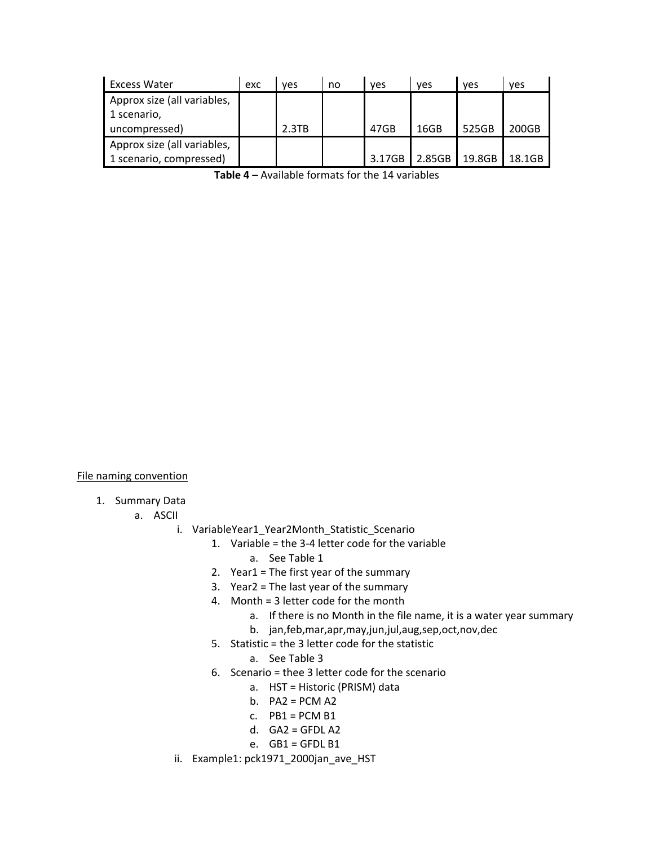| <b>Excess Water</b>         | exc | <b>ves</b> | no | ves    | ves    | ves    | <b>ves</b> |
|-----------------------------|-----|------------|----|--------|--------|--------|------------|
| Approx size (all variables, |     |            |    |        |        |        |            |
| 1 scenario,                 |     |            |    |        |        |        |            |
| uncompressed)               |     | 2.3TB      |    | 47GB   | 16GB   | 525GB  | 200GB      |
| Approx size (all variables, |     |            |    |        |        |        |            |
| 1 scenario, compressed)     |     |            |    | 3.17GB | 2.85GB | 19.8GB | 18.1GB     |

**Table 4** – Available formats for the 14 variables

File naming convention

1. Summary Data

a. ASCII

- i. VariableYear1 Year2Month Statistic Scenario
	- 1. Variable = the 3‐4 letter code for the variable
		- a. See Table 1
	- 2. Year1 = The first year of the summary
	- 3. Year2 = The last year of the summary
	- 4. Month = 3 letter code for the month
		- a. If there is no Month in the file name, it is a water year summary
		- b. jan,feb,mar,apr,may,jun,jul,aug,sep,oct,nov,dec
	- 5. Statistic = the 3 letter code for the statistic
		- a. See Table 3
	- 6. Scenario = thee 3 letter code for the scenario
		- a. HST = Historic (PRISM) data
		- b.  $PA2 = PCM A2$
		- c.  $PB1 = PCM B1$
		- d.  $GA2 = GFDL A2$
		- e. GB1 = GFDL B1
- ii. Example1: pck1971\_2000jan\_ave\_HST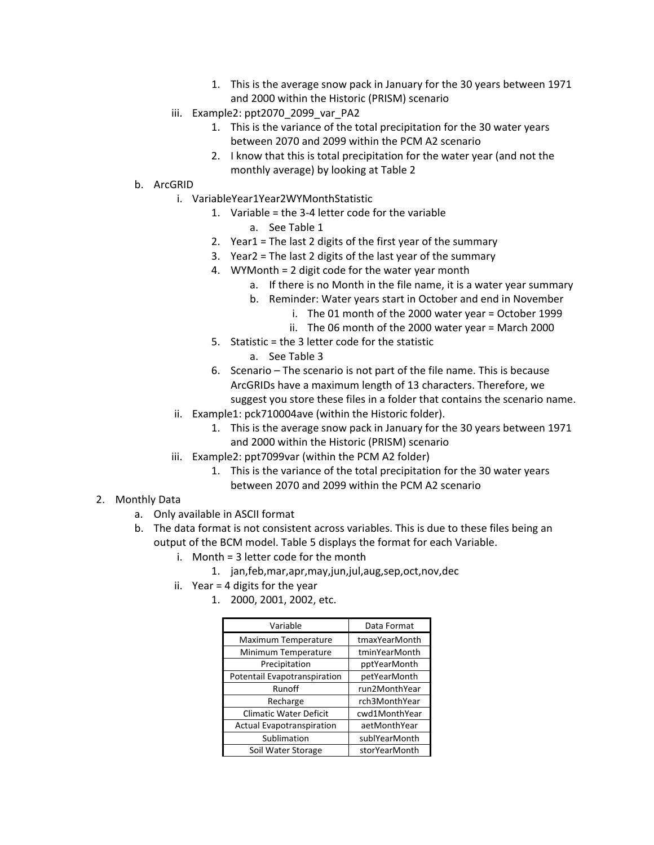- 1. This is the average snow pack in January for the 30 years between 1971 and 2000 within the Historic (PRISM) scenario
- iii. Example2: ppt2070 2099 var PA2
	- 1. This is the variance of the total precipitation for the 30 water years between 2070 and 2099 within the PCM A2 scenario
	- 2. I know that this is total precipitation for the water year (and not the monthly average) by looking at Table 2
- b. ArcGRID
	- i. VariableYear1Year2WYMonthStatistic
		- 1. Variable = the 3‐4 letter code for the variable
			- a. See Table 1
		- 2. Year1 = The last 2 digits of the first year of the summary
		- 3. Year2 = The last 2 digits of the last year of the summary
		- 4. WYMonth = 2 digit code for the water year month
			- a. If there is no Month in the file name, it is a water year summary
			- b. Reminder: Water years start in October and end in November
				- i. The 01 month of the 2000 water year = October 1999
				- ii. The 06 month of the 2000 water year = March 2000
		- 5. Statistic = the 3 letter code for the statistic
			- a. See Table 3
		- 6. Scenario The scenario is not part of the file name. This is because ArcGRIDs have a maximum length of 13 characters. Therefore, we suggest you store these files in a folder that contains the scenario name.
	- ii. Example1: pck710004ave (within the Historic folder).
		- 1. This is the average snow pack in January for the 30 years between 1971 and 2000 within the Historic (PRISM) scenario
	- iii. Example2: ppt7099var (within the PCM A2 folder)
		- 1. This is the variance of the total precipitation for the 30 water years between 2070 and 2099 within the PCM A2 scenario
- 2. Monthly Data
	- a. Only available in ASCII format
	- b. The data format is not consistent across variables. This is due to these files being an output of the BCM model. Table 5 displays the format for each Variable.
		- i. Month = 3 letter code for the month
			- 1. jan,feb,mar,apr,may,jun,jul,aug,sep,oct,nov,dec
		- ii. Year = 4 digits for the year
			- 1. 2000, 2001, 2002, etc.

| Variable                         | Data Format   |
|----------------------------------|---------------|
| Maximum Temperature              | tmaxYearMonth |
| Minimum Temperature              | tminYearMonth |
| Precipitation                    | pptYearMonth  |
| Potentail Evapotranspiration     | petYearMonth  |
| Runoff                           | run2MonthYear |
| Recharge                         | rch3MonthYear |
| <b>Climatic Water Deficit</b>    | cwd1MonthYear |
| <b>Actual Evapotranspiration</b> | aetMonthYear  |
| Sublimation                      | sublYearMonth |
| Soil Water Storage               | storYearMonth |